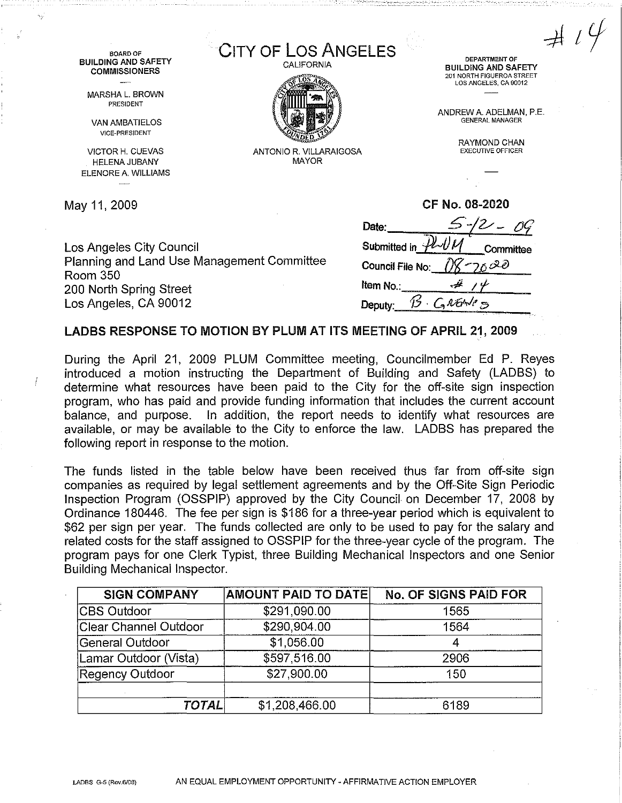CITY OF LOS ANGELES **DEPARTMENT OF**  BUILDING AND SAFETY 201 NORTH FIGUEROA STREET LOS ANGELES, CA 90012

> ANDREW A. ADELMAN, P.E. GENERAL MANAGER

> > RAYMOND CHAN EXECUTIVE OFFICER

**BOARD OF**  BUILDING AND SAFETY **COMMISSIONERS** 

MARSHA L. BROWN PRESIDENT

VAN AMBATIELOS VICE-PRESIDENT

VICTOR H. CUEVAS HELENA JUBANY ELENORE A. WILLIAMS

May 11,2009

Los Angeles City Council Planning and Land Use Management Committee Room 350 200 North Spring Street Los Angeles, CA 90012

| CF No. 08-2020        |           |  |
|-----------------------|-----------|--|
| Date:                 | -12 - 0   |  |
| Submitted in <i>H</i> | Committee |  |
| Council File No: (/y  |           |  |
| Item No.              |           |  |
| Deputy:               | GRENCE    |  |
|                       |           |  |

## LADBS RESPONSE TO MOTION BY PLUM AT ITS MEETING OF APRIL21, 2009

CALIFORNIA

ANTONIO R. VILLARAIGOSA MAYOR

During the April 21, 2009 PLUM Committee meeting, Councilmember Ed P. Reyes introduced a motion instructing the Department of Building and Safety (LADBS) to determine what resources have been paid to the City for the off-site sign inspection program, who has paid and provide funding information that includes the current account balance, and purpose. In addition, the report needs to identify what resources are available, or may be available to the City to enforce the law. LADBS has prepared the following report in response to the motion.

The funds listed in the table below have been received thus far from off-site sign companies as required by legal settlement agreements and by the Off-Site Sign Periodic Inspection Program (OSSPIP} approved by the City Council on December 17, 2008 by Ordinance 180446. The fee per sign is \$186 for a three-year period which is equivalent to \$62 per sign per year. The funds collected are only to be used to pay for the salary and related costs for the staff assigned to OSSPIP for the three-year cycle of the program. The program pays for one Clerk Typist, three Building Mechanical Inspectors and one Senior Building Mechanical Inspector.

| <b>SIGN COMPANY</b>   | <b>AMOUNT PAID TO DATE</b> | <b>No. OF SIGNS PAID FOR</b> |
|-----------------------|----------------------------|------------------------------|
| <b>CBS Outdoor</b>    | \$291,090.00               | 1565                         |
| Clear Channel Outdoor | \$290,904.00               | 1564                         |
| General Outdoor       | \$1,056.00                 |                              |
| Lamar Outdoor (Vista) | \$597,516.00               | 2906                         |
| Regency Outdoor       | \$27,900.00                | 150                          |
| <b>TOTAL</b>          | \$1,208,466.00             | 6189                         |